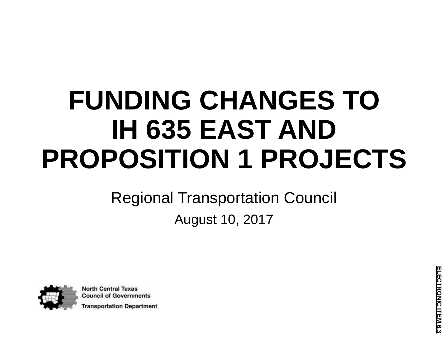# **FUNDING CHANGES TO IH 635 EAST AND PROPOSITION 1 PROJECTS**

### Regional Transportation Council August 10, 2017



**North Central Texas Council of Governments Fransportation Department**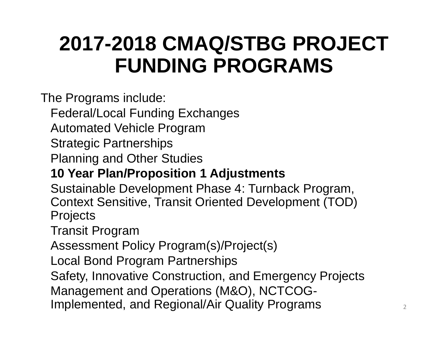## **2017-2018 CMAQ/STBG PROJECT FUNDING PROGRAMS**

The Programs include:

Federal/Local Funding Exchanges

Automated Vehicle Program

Strategic Partnerships

Planning and Other Studies

#### **10 Year Plan/Proposition 1 Adjustments**

Sustainable Development Phase 4: Turnback Program, Context Sensitive, Transit Oriented Development (TOD) **Projects** 

Transit Program

Assessment Policy Program(s)/Project(s)

Local Bond Program Partnerships

Safety, Innovative Construction, and Emergency Projects

Management and Operations (M&O), NCTCOG-

Implemented, and Regional/Air Quality Programs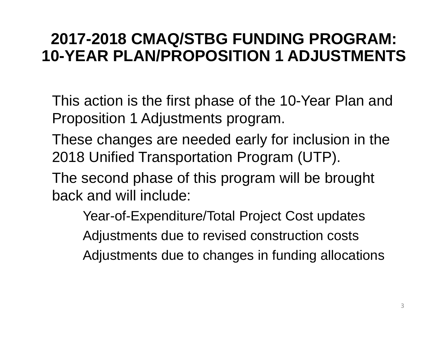#### **2017-2018 CMAQ/STBG FUNDING PROGRAM: 10-YEAR PLAN/PROPOSITION 1 ADJUSTMENTS**

This action is the first phase of the 10-Year Plan and Proposition 1 Adjustments program.

These changes are needed early for inclusion in the 2018 Unified Transportation Program (UTP).

The second phase of this program will be brought back and will include:

Year-of-Expenditure/Total Project Cost updates Adjustments due to revised construction costs Adjustments due to changes in funding allocations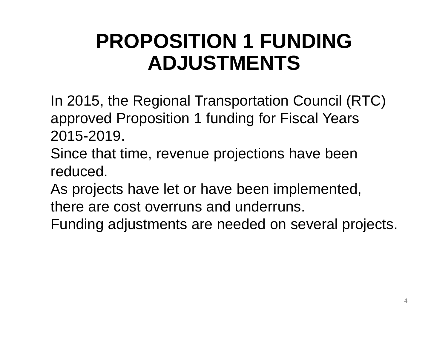## **PROPOSITION 1 FUNDING ADJUSTMENTS**

In 2015, the Regional Transportation Council (RTC) approved Proposition 1 funding for Fiscal Years 2015-2019.

Since that time, revenue projections have been reduced.

As projects have let or have been implemented,

there are cost overruns and underruns.

Funding adjustments are needed on several projects.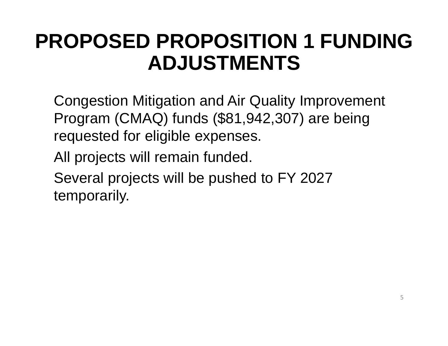### **PROPOSED PROPOSITION 1 FUNDING ADJUSTMENTS**

Congestion Mitigation and Air Quality Improvement Program (CMAQ) funds (\$81,942,307) are being requested for eligible expenses.

All projects will remain funded.

Several projects will be pushed to FY 2027 temporarily.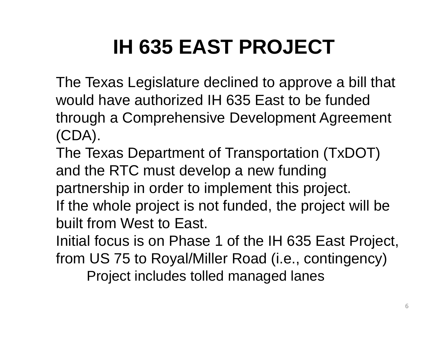## **IH 635 EAST PROJECT**

The Texas Legislature declined to approve a bill that would have authorized IH 635 East to be funded through a Comprehensive Development Agreement (CDA).

The Texas Department of Transportation (TxDOT) and the RTC must develop a new funding partnership in order to implement this project. If the whole project is not funded, the project will be built from West to East.

Initial focus is on Phase 1 of the IH 635 East Project, from US 75 to Royal/Miller Road (i.e., contingency) Project includes tolled managed lanes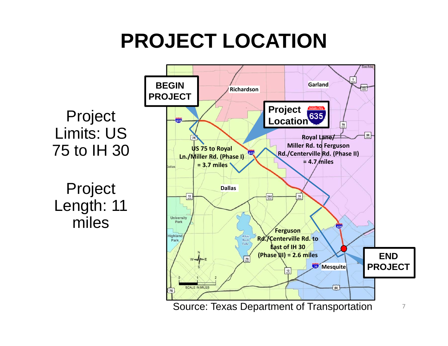## **PROJECT LOCATION**

Project Limits: US 75 to IH 30

Project Length: 11 miles

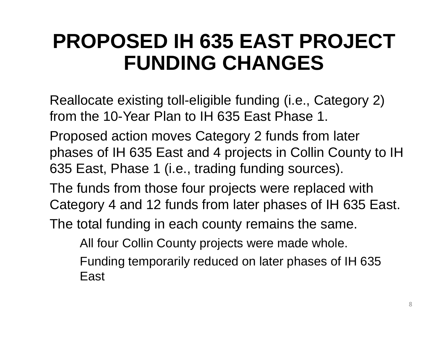## **PROPOSED IH 635 EAST PROJECT FUNDING CHANGES**

Reallocate existing toll-eligible funding (i.e., Category 2) from the 10-Year Plan to IH 635 East Phase 1.

Proposed action moves Category 2 funds from later phases of IH 635 East and 4 projects in Collin County to IH 635 East, Phase 1 (i.e., trading funding sources).

The funds from those four projects were replaced with Category 4 and 12 funds from later phases of IH 635 East.

The total funding in each county remains the same.

All four Collin County projects were made whole.

Funding temporarily reduced on later phases of IH 635 East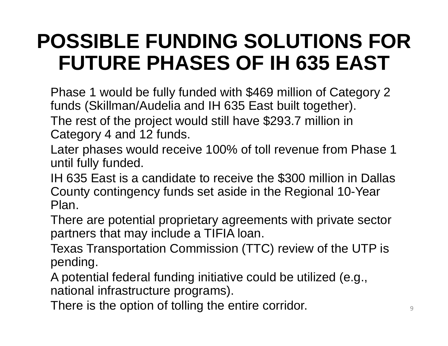## **POSSIBLE FUNDING SOLUTIONS FOR FUTURE PHASES OF IH 635 EAST**

Phase 1 would be fully funded with \$469 million of Category 2 funds (Skillman/Audelia and IH 635 East built together).

The rest of the project would still have \$293.7 million in Category 4 and 12 funds.

Later phases would receive 100% of toll revenue from Phase 1 until fully funded.

IH 635 East is a candidate to receive the \$300 million in Dallas County contingency funds set aside in the Regional 10-Year Plan.

There are potential proprietary agreements with private sector partners that may include a TIFIA loan.

Texas Transportation Commission (TTC) review of the UTP is pending.

A potential federal funding initiative could be utilized (e.g., national infrastructure programs).

There is the option of tolling the entire corridor.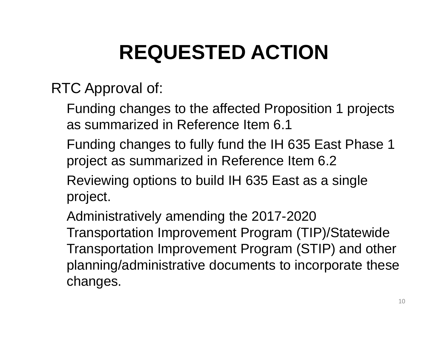## **REQUESTED ACTION**

RTC Approval of:

- Funding changes to the affected Proposition 1 projects as summarized in Reference Item 6.1
- Funding changes to fully fund the IH 635 East Phase 1 project as summarized in Reference Item 6.2
- Reviewing options to build IH 635 East as a single project.
- Administratively amending the 2017-2020 Transportation Improvement Program (TIP)/Statewide Transportation Improvement Program (STIP) and other planning/administrative documents to incorporate these changes.